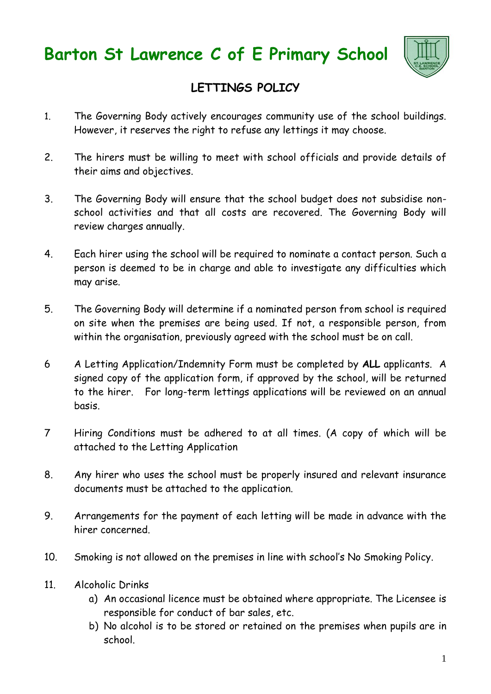



## **LETTINGS POLICY**

- 1. The Governing Body actively encourages community use of the school buildings. However, it reserves the right to refuse any lettings it may choose.
- 2. The hirers must be willing to meet with school officials and provide details of their aims and objectives.
- 3. The Governing Body will ensure that the school budget does not subsidise nonschool activities and that all costs are recovered. The Governing Body will review charges annually.
- 4. Each hirer using the school will be required to nominate a contact person. Such a person is deemed to be in charge and able to investigate any difficulties which may arise.
- 5. The Governing Body will determine if a nominated person from school is required on site when the premises are being used. If not, a responsible person, from within the organisation, previously agreed with the school must be on call.
- 6 A Letting Application/Indemnity Form must be completed by **ALL** applicants. A signed copy of the application form, if approved by the school, will be returned to the hirer. For long-term lettings applications will be reviewed on an annual basis.
- 7 Hiring Conditions must be adhered to at all times. (A copy of which will be attached to the Letting Application
- 8. Any hirer who uses the school must be properly insured and relevant insurance documents must be attached to the application.
- 9. Arrangements for the payment of each letting will be made in advance with the hirer concerned.
- 10. Smoking is not allowed on the premises in line with school's No Smoking Policy.
- 11. Alcoholic Drinks
	- a) An occasional licence must be obtained where appropriate. The Licensee is responsible for conduct of bar sales, etc.
	- b) No alcohol is to be stored or retained on the premises when pupils are in school.